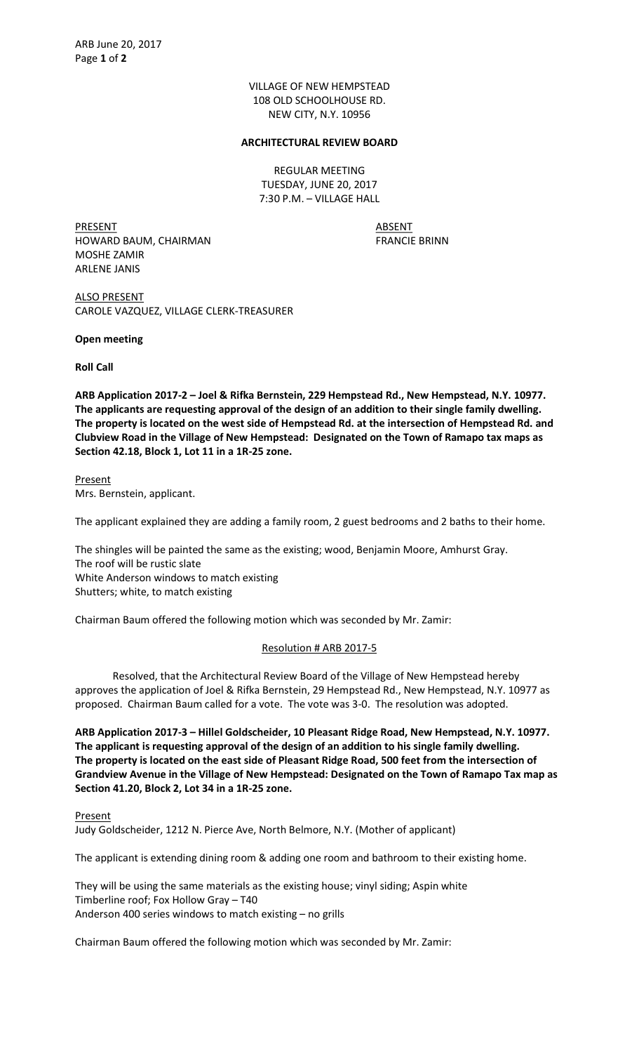VILLAGE OF NEW HEMPSTEAD 108 OLD SCHOOLHOUSE RD. NEW CITY, N.Y. 10956

## ARCHITECTURAL REVIEW BOARD

REGULAR MEETING TUESDAY, JUNE 20, 2017 7:30 P.M. – VILLAGE HALL

PRESENT ABSENT HOWARD BAUM, CHAIRMAN FRANCIE BRINN MOSHE ZAMIR ARLENE JANIS

ALSO PRESENT CAROLE VAZQUEZ, VILLAGE CLERK-TREASURER

Open meeting

Roll Call

ARB Application 2017-2 – Joel & Rifka Bernstein, 229 Hempstead Rd., New Hempstead, N.Y. 10977. The applicants are requesting approval of the design of an addition to their single family dwelling. The property is located on the west side of Hempstead Rd. at the intersection of Hempstead Rd. and Clubview Road in the Village of New Hempstead: Designated on the Town of Ramapo tax maps as Section 42.18, Block 1, Lot 11 in a 1R-25 zone.

Present Mrs. Bernstein, applicant.

The applicant explained they are adding a family room, 2 guest bedrooms and 2 baths to their home.

The shingles will be painted the same as the existing; wood, Benjamin Moore, Amhurst Gray. The roof will be rustic slate White Anderson windows to match existing Shutters; white, to match existing

Chairman Baum offered the following motion which was seconded by Mr. Zamir:

# Resolution # ARB 2017-5

 Resolved, that the Architectural Review Board of the Village of New Hempstead hereby approves the application of Joel & Rifka Bernstein, 29 Hempstead Rd., New Hempstead, N.Y. 10977 as proposed. Chairman Baum called for a vote. The vote was 3-0. The resolution was adopted.

ARB Application 2017-3 – Hillel Goldscheider, 10 Pleasant Ridge Road, New Hempstead, N.Y. 10977. The applicant is requesting approval of the design of an addition to his single family dwelling. The property is located on the east side of Pleasant Ridge Road, 500 feet from the intersection of Grandview Avenue in the Village of New Hempstead: Designated on the Town of Ramapo Tax map as Section 41.20, Block 2, Lot 34 in a 1R-25 zone.

**Present** Judy Goldscheider, 1212 N. Pierce Ave, North Belmore, N.Y. (Mother of applicant)

The applicant is extending dining room & adding one room and bathroom to their existing home.

They will be using the same materials as the existing house; vinyl siding; Aspin white Timberline roof; Fox Hollow Gray – T40 Anderson 400 series windows to match existing – no grills

Chairman Baum offered the following motion which was seconded by Mr. Zamir: